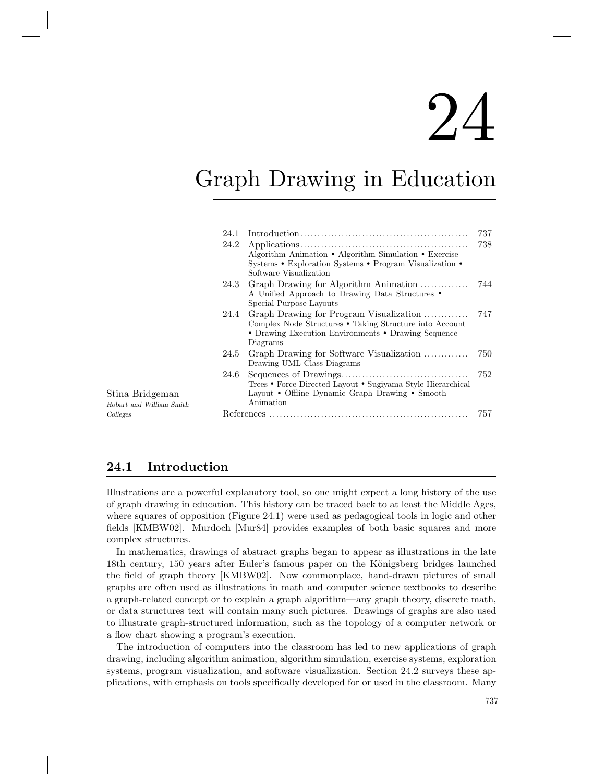# 24

## Graph Drawing in Education

|                                             | 24.1 |                                                                                                                                                                       | 737 |
|---------------------------------------------|------|-----------------------------------------------------------------------------------------------------------------------------------------------------------------------|-----|
|                                             | 24.2 | Algorithm Animation • Algorithm Simulation • Exercise<br>Systems • Exploration Systems • Program Visualization •<br>Software Visualization                            | 738 |
|                                             |      | 24.3 Graph Drawing for Algorithm Animation<br>A Unified Approach to Drawing Data Structures •<br>Special-Purpose Layouts                                              | 744 |
|                                             | 24.4 | Graph Drawing for Program Visualization<br>Complex Node Structures • Taking Structure into Account<br>• Drawing Execution Environments • Drawing Sequence<br>Diagrams | 747 |
|                                             | 24.5 | Graph Drawing for Software Visualization<br>Drawing UML Class Diagrams                                                                                                | 750 |
| Stina Bridgeman<br>Hobart and William Smith | 24.6 | Trees • Force-Directed Layout • Sugiyama-Style Hierarchical<br>Layout • Offline Dynamic Graph Drawing • Smooth<br>Animation                                           | 752 |
| Colleges                                    |      |                                                                                                                                                                       | 757 |

#### 24.1 Introduction

Illustrations are a powerful explanatory tool, so one might expect a long history of the use of graph drawing in education. This history can be traced back to at least the Middle Ages, where squares of opposition (Figure 24.1) were used as pedagogical tools in logic and other fields [KMBW02]. Murdoch [Mur84] provides examples of both basic squares and more complex structures.

In mathematics, drawings of abstract graphs began to appear as illustrations in the late 18th century, 150 years after Euler's famous paper on the Königsberg bridges launched the field of graph theory [KMBW02]. Now commonplace, hand-drawn pictures of small graphs are often used as illustrations in math and computer science textbooks to describe a graph-related concept or to explain a graph algorithm—any graph theory, discrete math, or data structures text will contain many such pictures. Drawings of graphs are also used to illustrate graph-structured information, such as the topology of a computer network or a flow chart showing a program's execution.

The introduction of computers into the classroom has led to new applications of graph drawing, including algorithm animation, algorithm simulation, exercise systems, exploration systems, program visualization, and software visualization. Section 24.2 surveys these applications, with emphasis on tools specifically developed for or used in the classroom. Many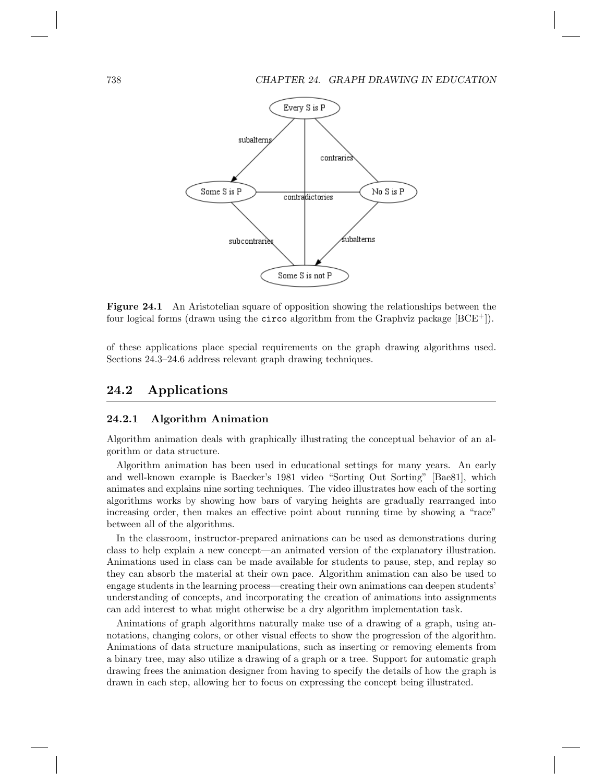#### 738 CHAPTER 24. GRAPH DRAWING IN EDUCATION



Figure 24.1 An Aristotelian square of opposition showing the relationships between the four logical forms (drawn using the circo algorithm from the Graphviz package [BCE+]).

of these applications place special requirements on the graph drawing algorithms used. Sections 24.3–24.6 address relevant graph drawing techniques.

#### 24.2 Applications

#### 24.2.1 Algorithm Animation

Algorithm animation deals with graphically illustrating the conceptual behavior of an algorithm or data structure.

Algorithm animation has been used in educational settings for many years. An early and well-known example is Baecker's 1981 video "Sorting Out Sorting" [Bae81], which animates and explains nine sorting techniques. The video illustrates how each of the sorting algorithms works by showing how bars of varying heights are gradually rearranged into increasing order, then makes an effective point about running time by showing a "race" between all of the algorithms.

In the classroom, instructor-prepared animations can be used as demonstrations during class to help explain a new concept—an animated version of the explanatory illustration. Animations used in class can be made available for students to pause, step, and replay so they can absorb the material at their own pace. Algorithm animation can also be used to engage students in the learning process—creating their own animations can deepen students' understanding of concepts, and incorporating the creation of animations into assignments can add interest to what might otherwise be a dry algorithm implementation task.

Animations of graph algorithms naturally make use of a drawing of a graph, using annotations, changing colors, or other visual effects to show the progression of the algorithm. Animations of data structure manipulations, such as inserting or removing elements from a binary tree, may also utilize a drawing of a graph or a tree. Support for automatic graph drawing frees the animation designer from having to specify the details of how the graph is drawn in each step, allowing her to focus on expressing the concept being illustrated.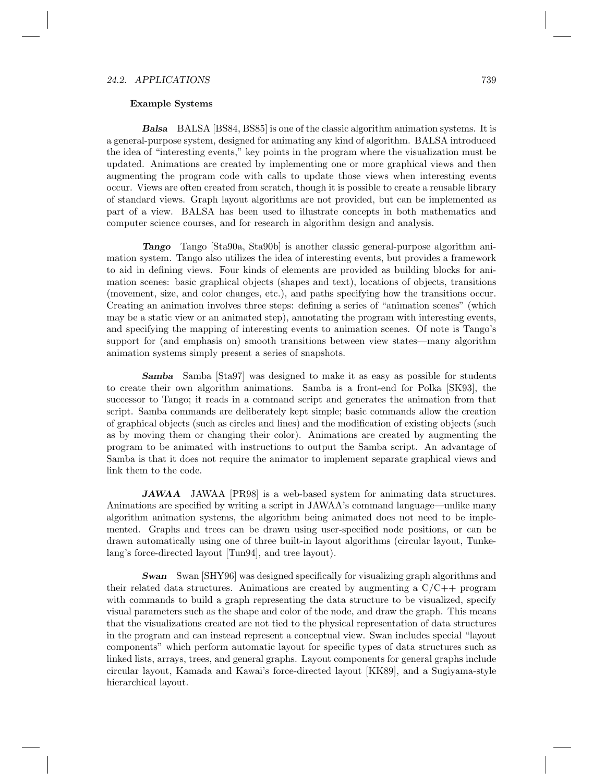#### 24.2. APPLICATIONS 739

#### Example Systems

Balsa BALSA [BS84, BS85] is one of the classic algorithm animation systems. It is a general-purpose system, designed for animating any kind of algorithm. BALSA introduced the idea of "interesting events," key points in the program where the visualization must be updated. Animations are created by implementing one or more graphical views and then augmenting the program code with calls to update those views when interesting events occur. Views are often created from scratch, though it is possible to create a reusable library of standard views. Graph layout algorithms are not provided, but can be implemented as part of a view. BALSA has been used to illustrate concepts in both mathematics and computer science courses, and for research in algorithm design and analysis.

Tango Tango [Sta90a, Sta90b] is another classic general-purpose algorithm animation system. Tango also utilizes the idea of interesting events, but provides a framework to aid in defining views. Four kinds of elements are provided as building blocks for animation scenes: basic graphical objects (shapes and text), locations of objects, transitions (movement, size, and color changes, etc.), and paths specifying how the transitions occur. Creating an animation involves three steps: defining a series of "animation scenes" (which may be a static view or an animated step), annotating the program with interesting events, and specifying the mapping of interesting events to animation scenes. Of note is Tango's support for (and emphasis on) smooth transitions between view states—many algorithm animation systems simply present a series of snapshots.

Samba Samba [Sta97] was designed to make it as easy as possible for students to create their own algorithm animations. Samba is a front-end for Polka [SK93], the successor to Tango; it reads in a command script and generates the animation from that script. Samba commands are deliberately kept simple; basic commands allow the creation of graphical objects (such as circles and lines) and the modification of existing objects (such as by moving them or changing their color). Animations are created by augmenting the program to be animated with instructions to output the Samba script. An advantage of Samba is that it does not require the animator to implement separate graphical views and link them to the code.

**JAWAA** JAWAA [PR98] is a web-based system for animating data structures. Animations are specified by writing a script in JAWAA's command language—unlike many algorithm animation systems, the algorithm being animated does not need to be implemented. Graphs and trees can be drawn using user-specified node positions, or can be drawn automatically using one of three built-in layout algorithms (circular layout, Tunkelang's force-directed layout [Tun94], and tree layout).

Swan Swan [SHY96] was designed specifically for visualizing graph algorithms and their related data structures. Animations are created by augmenting a  $C/C++$  program with commands to build a graph representing the data structure to be visualized, specify visual parameters such as the shape and color of the node, and draw the graph. This means that the visualizations created are not tied to the physical representation of data structures in the program and can instead represent a conceptual view. Swan includes special "layout components" which perform automatic layout for specific types of data structures such as linked lists, arrays, trees, and general graphs. Layout components for general graphs include circular layout, Kamada and Kawai's force-directed layout [KK89], and a Sugiyama-style hierarchical layout.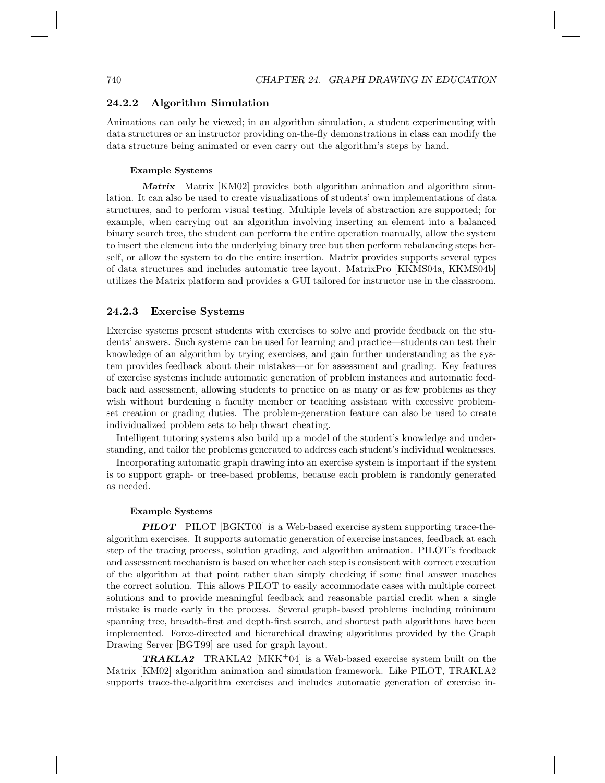#### 24.2.2 Algorithm Simulation

Animations can only be viewed; in an algorithm simulation, a student experimenting with data structures or an instructor providing on-the-fly demonstrations in class can modify the data structure being animated or even carry out the algorithm's steps by hand.

#### Example Systems

Matrix Matrix [KM02] provides both algorithm animation and algorithm simulation. It can also be used to create visualizations of students' own implementations of data structures, and to perform visual testing. Multiple levels of abstraction are supported; for example, when carrying out an algorithm involving inserting an element into a balanced binary search tree, the student can perform the entire operation manually, allow the system to insert the element into the underlying binary tree but then perform rebalancing steps herself, or allow the system to do the entire insertion. Matrix provides supports several types of data structures and includes automatic tree layout. MatrixPro [KKMS04a, KKMS04b] utilizes the Matrix platform and provides a GUI tailored for instructor use in the classroom.

#### 24.2.3 Exercise Systems

Exercise systems present students with exercises to solve and provide feedback on the students' answers. Such systems can be used for learning and practice—students can test their knowledge of an algorithm by trying exercises, and gain further understanding as the system provides feedback about their mistakes—or for assessment and grading. Key features of exercise systems include automatic generation of problem instances and automatic feedback and assessment, allowing students to practice on as many or as few problems as they wish without burdening a faculty member or teaching assistant with excessive problemset creation or grading duties. The problem-generation feature can also be used to create individualized problem sets to help thwart cheating.

Intelligent tutoring systems also build up a model of the student's knowledge and understanding, and tailor the problems generated to address each student's individual weaknesses.

Incorporating automatic graph drawing into an exercise system is important if the system is to support graph- or tree-based problems, because each problem is randomly generated as needed.

#### Example Systems

PILOT PILOT [BGKT00] is a Web-based exercise system supporting trace-thealgorithm exercises. It supports automatic generation of exercise instances, feedback at each step of the tracing process, solution grading, and algorithm animation. PILOT's feedback and assessment mechanism is based on whether each step is consistent with correct execution of the algorithm at that point rather than simply checking if some final answer matches the correct solution. This allows PILOT to easily accommodate cases with multiple correct solutions and to provide meaningful feedback and reasonable partial credit when a single mistake is made early in the process. Several graph-based problems including minimum spanning tree, breadth-first and depth-first search, and shortest path algorithms have been implemented. Force-directed and hierarchical drawing algorithms provided by the Graph Drawing Server [BGT99] are used for graph layout.

**TRAKLA2** TRAKLA2  $\text{IMKK}^+04$  is a Web-based exercise system built on the Matrix [KM02] algorithm animation and simulation framework. Like PILOT, TRAKLA2 supports trace-the-algorithm exercises and includes automatic generation of exercise in-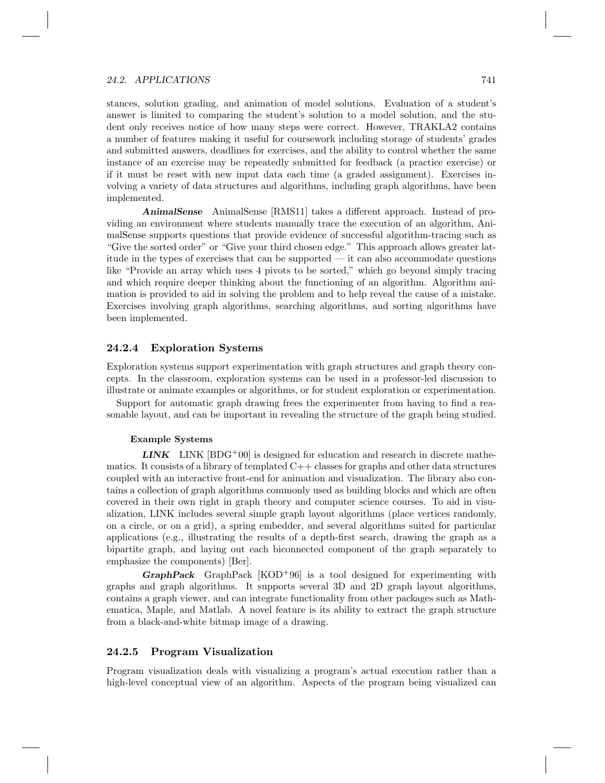#### 24.2. APPLICATIONS 741

stances, solution grading, and animation of model solutions. Evaluation of a student's answer is limited to comparing the student's solution to a model solution, and the student only receives notice of how many steps were correct. However, TRAKLA2 contains a number of features making it useful for coursework including storage of students' grades and submitted answers, deadlines for exercises, and the ability to control whether the same instance of an exercise may be repeatedly submitted for feedback (a practice exercise) or if it must be reset with new input data each time (a graded assignment). Exercises involving a variety of data structures and algorithms, including graph algorithms, have been implemented.

AnimalSense AnimalSense [RMS11] takes a different approach. Instead of providing an environment where students manually trace the execution of an algorithm, AnimalSense supports questions that provide evidence of successful algorithm-tracing such as "Give the sorted order" or "Give your third chosen edge." This approach allows greater latitude in the types of exercises that can be supported — it can also accommodate questions like "Provide an array which uses 4 pivots to be sorted," which go beyond simply tracing and which require deeper thinking about the functioning of an algorithm. Algorithm animation is provided to aid in solving the problem and to help reveal the cause of a mistake. Exercises involving graph algorithms, searching algorithms, and sorting algorithms have been implemented.

#### 24.2.4 Exploration Systems

Exploration systems support experimentation with graph structures and graph theory concepts. In the classroom, exploration systems can be used in a professor-led discussion to illustrate or animate examples or algorithms, or for student exploration or experimentation.

Support for automatic graph drawing frees the experimenter from having to find a reasonable layout, and can be important in revealing the structure of the graph being studied.

#### Example Systems

**LINK** LINK  $[BDG^+00]$  is designed for education and research in discrete mathematics. It consists of a library of templated  $C++$  classes for graphs and other data structures coupled with an interactive front-end for animation and visualization. The library also contains a collection of graph algorithms commonly used as building blocks and which are often covered in their own right in graph theory and computer science courses. To aid in visualization, LINK includes several simple graph layout algorithms (place vertices randomly, on a circle, or on a grid), a spring embedder, and several algorithms suited for particular applications (e.g., illustrating the results of a depth-first search, drawing the graph as a bipartite graph, and laying out each biconnected component of the graph separately to emphasize the components) [Ber].

**GraphPack** GraphPack  $[KOD+96]$  is a tool designed for experimenting with graphs and graph algorithms. It supports several 3D and 2D graph layout algorithms, contains a graph viewer, and can integrate functionality from other packages such as Mathematica, Maple, and Matlab. A novel feature is its ability to extract the graph structure from a black-and-white bitmap image of a drawing.

#### 24.2.5 Program Visualization

Program visualization deals with visualizing a program's actual execution rather than a high-level conceptual view of an algorithm. Aspects of the program being visualized can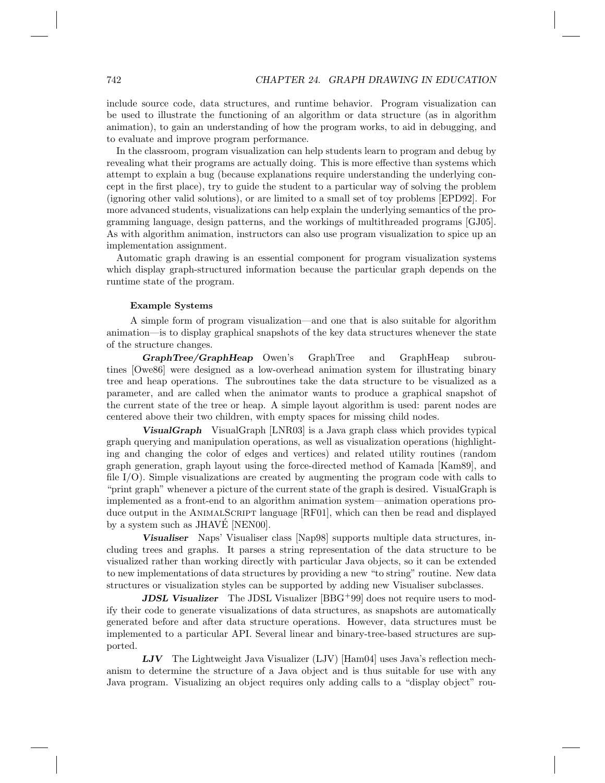include source code, data structures, and runtime behavior. Program visualization can be used to illustrate the functioning of an algorithm or data structure (as in algorithm animation), to gain an understanding of how the program works, to aid in debugging, and to evaluate and improve program performance.

In the classroom, program visualization can help students learn to program and debug by revealing what their programs are actually doing. This is more effective than systems which attempt to explain a bug (because explanations require understanding the underlying concept in the first place), try to guide the student to a particular way of solving the problem (ignoring other valid solutions), or are limited to a small set of toy problems [EPD92]. For more advanced students, visualizations can help explain the underlying semantics of the programming language, design patterns, and the workings of multithreaded programs [GJ05]. As with algorithm animation, instructors can also use program visualization to spice up an implementation assignment.

Automatic graph drawing is an essential component for program visualization systems which display graph-structured information because the particular graph depends on the runtime state of the program.

#### Example Systems

A simple form of program visualization—and one that is also suitable for algorithm animation—is to display graphical snapshots of the key data structures whenever the state of the structure changes.

GraphTree/GraphHeap Owen's GraphTree and GraphHeap subroutines [Owe86] were designed as a low-overhead animation system for illustrating binary tree and heap operations. The subroutines take the data structure to be visualized as a parameter, and are called when the animator wants to produce a graphical snapshot of the current state of the tree or heap. A simple layout algorithm is used: parent nodes are centered above their two children, with empty spaces for missing child nodes.

VisualGraph VisualGraph [LNR03] is a Java graph class which provides typical graph querying and manipulation operations, as well as visualization operations (highlighting and changing the color of edges and vertices) and related utility routines (random graph generation, graph layout using the force-directed method of Kamada [Kam89], and file I/O). Simple visualizations are created by augmenting the program code with calls to "print graph" whenever a picture of the current state of the graph is desired. VisualGraph is implemented as a front-end to an algorithm animation system—animation operations produce output in the AnimalScript language [RF01], which can then be read and displayed by a system such as JHAVE [NEN00].

Visualiser Naps' Visualiser class [Nap98] supports multiple data structures, including trees and graphs. It parses a string representation of the data structure to be visualized rather than working directly with particular Java objects, so it can be extended to new implementations of data structures by providing a new "to string" routine. New data structures or visualization styles can be supported by adding new Visualiser subclasses.

**JDSL Visualizer** The JDSL Visualizer  $[BBG+99]$  does not require users to modify their code to generate visualizations of data structures, as snapshots are automatically generated before and after data structure operations. However, data structures must be implemented to a particular API. Several linear and binary-tree-based structures are supported.

LJV The Lightweight Java Visualizer (LJV) [Ham04] uses Java's reflection mechanism to determine the structure of a Java object and is thus suitable for use with any Java program. Visualizing an object requires only adding calls to a "display object" rou-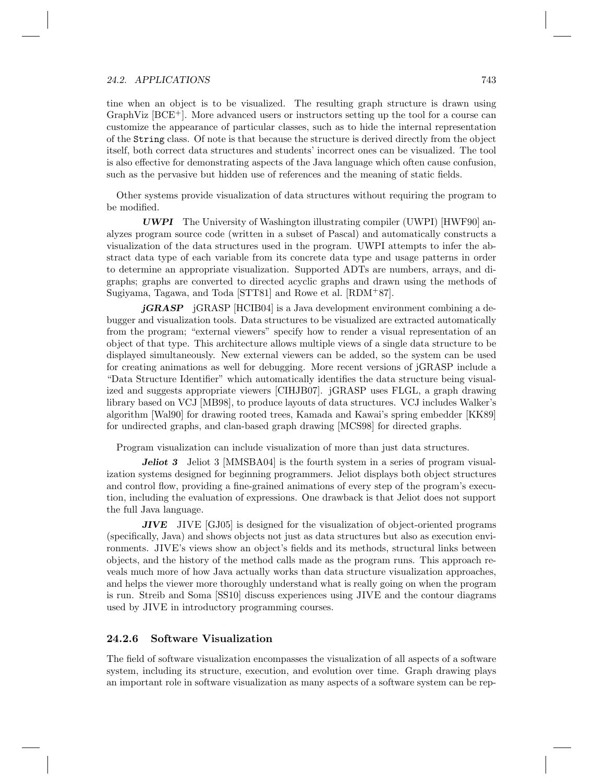#### 24.2. APPLICATIONS 743

tine when an object is to be visualized. The resulting graph structure is drawn using GraphViz [BCE+]. More advanced users or instructors setting up the tool for a course can customize the appearance of particular classes, such as to hide the internal representation of the String class. Of note is that because the structure is derived directly from the object itself, both correct data structures and students' incorrect ones can be visualized. The tool is also effective for demonstrating aspects of the Java language which often cause confusion, such as the pervasive but hidden use of references and the meaning of static fields.

Other systems provide visualization of data structures without requiring the program to be modified.

UWPI The University of Washington illustrating compiler (UWPI) [HWF90] analyzes program source code (written in a subset of Pascal) and automatically constructs a visualization of the data structures used in the program. UWPI attempts to infer the abstract data type of each variable from its concrete data type and usage patterns in order to determine an appropriate visualization. Supported ADTs are numbers, arrays, and digraphs; graphs are converted to directed acyclic graphs and drawn using the methods of Sugiyama, Tagawa, and Toda [STT81] and Rowe et al. [RDM+87].

**jGRASP** jGRASP [HCIB04] is a Java development environment combining a debugger and visualization tools. Data structures to be visualized are extracted automatically from the program; "external viewers" specify how to render a visual representation of an object of that type. This architecture allows multiple views of a single data structure to be displayed simultaneously. New external viewers can be added, so the system can be used for creating animations as well for debugging. More recent versions of jGRASP include a "Data Structure Identifier" which automatically identifies the data structure being visualized and suggests appropriate viewers [CIHJB07]. jGRASP uses FLGL, a graph drawing library based on VCJ [MB98], to produce layouts of data structures. VCJ includes Walker's algorithm [Wal90] for drawing rooted trees, Kamada and Kawai's spring embedder [KK89] for undirected graphs, and clan-based graph drawing [MCS98] for directed graphs.

Program visualization can include visualization of more than just data structures.

**Jeliot 3** Jeliot 3 [MMSBA04] is the fourth system in a series of program visualization systems designed for beginning programmers. Jeliot displays both object structures and control flow, providing a fine-grained animations of every step of the program's execution, including the evaluation of expressions. One drawback is that Jeliot does not support the full Java language.

JIVE JIVE [GJ05] is designed for the visualization of object-oriented programs (specifically, Java) and shows objects not just as data structures but also as execution environments. JIVE's views show an object's fields and its methods, structural links between objects, and the history of the method calls made as the program runs. This approach reveals much more of how Java actually works than data structure visualization approaches, and helps the viewer more thoroughly understand what is really going on when the program is run. Streib and Soma [SS10] discuss experiences using JIVE and the contour diagrams used by JIVE in introductory programming courses.

#### 24.2.6 Software Visualization

The field of software visualization encompasses the visualization of all aspects of a software system, including its structure, execution, and evolution over time. Graph drawing plays an important role in software visualization as many aspects of a software system can be rep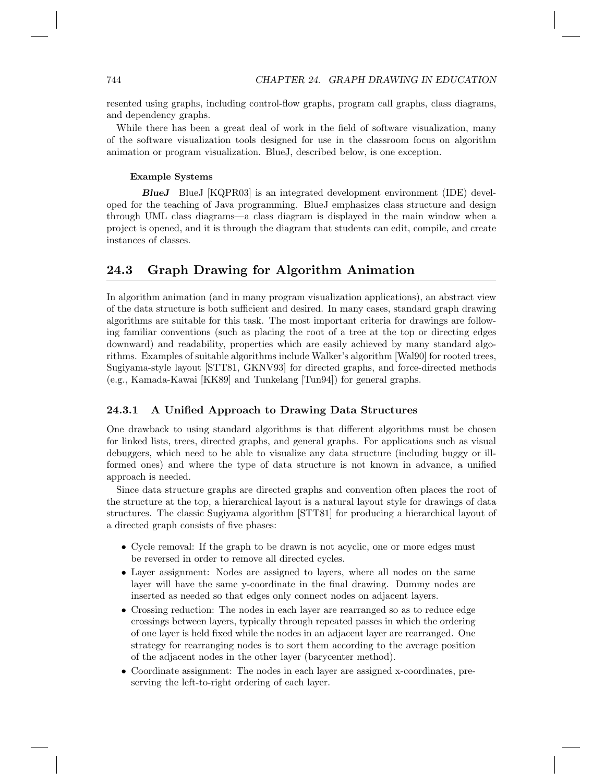resented using graphs, including control-flow graphs, program call graphs, class diagrams, and dependency graphs.

While there has been a great deal of work in the field of software visualization, many of the software visualization tools designed for use in the classroom focus on algorithm animation or program visualization. BlueJ, described below, is one exception.

#### Example Systems

BlueJ BlueJ [KQPR03] is an integrated development environment (IDE) developed for the teaching of Java programming. BlueJ emphasizes class structure and design through UML class diagrams—a class diagram is displayed in the main window when a project is opened, and it is through the diagram that students can edit, compile, and create instances of classes.

#### 24.3 Graph Drawing for Algorithm Animation

In algorithm animation (and in many program visualization applications), an abstract view of the data structure is both sufficient and desired. In many cases, standard graph drawing algorithms are suitable for this task. The most important criteria for drawings are following familiar conventions (such as placing the root of a tree at the top or directing edges downward) and readability, properties which are easily achieved by many standard algorithms. Examples of suitable algorithms include Walker's algorithm [Wal90] for rooted trees, Sugiyama-style layout [STT81, GKNV93] for directed graphs, and force-directed methods (e.g., Kamada-Kawai [KK89] and Tunkelang [Tun94]) for general graphs.

#### 24.3.1 A Unified Approach to Drawing Data Structures

One drawback to using standard algorithms is that different algorithms must be chosen for linked lists, trees, directed graphs, and general graphs. For applications such as visual debuggers, which need to be able to visualize any data structure (including buggy or illformed ones) and where the type of data structure is not known in advance, a unified approach is needed.

Since data structure graphs are directed graphs and convention often places the root of the structure at the top, a hierarchical layout is a natural layout style for drawings of data structures. The classic Sugiyama algorithm [STT81] for producing a hierarchical layout of a directed graph consists of five phases:

- Cycle removal: If the graph to be drawn is not acyclic, one or more edges must be reversed in order to remove all directed cycles.
- Layer assignment: Nodes are assigned to layers, where all nodes on the same layer will have the same y-coordinate in the final drawing. Dummy nodes are inserted as needed so that edges only connect nodes on adjacent layers.
- Crossing reduction: The nodes in each layer are rearranged so as to reduce edge crossings between layers, typically through repeated passes in which the ordering of one layer is held fixed while the nodes in an adjacent layer are rearranged. One strategy for rearranging nodes is to sort them according to the average position of the adjacent nodes in the other layer (barycenter method).
- Coordinate assignment: The nodes in each layer are assigned x-coordinates, preserving the left-to-right ordering of each layer.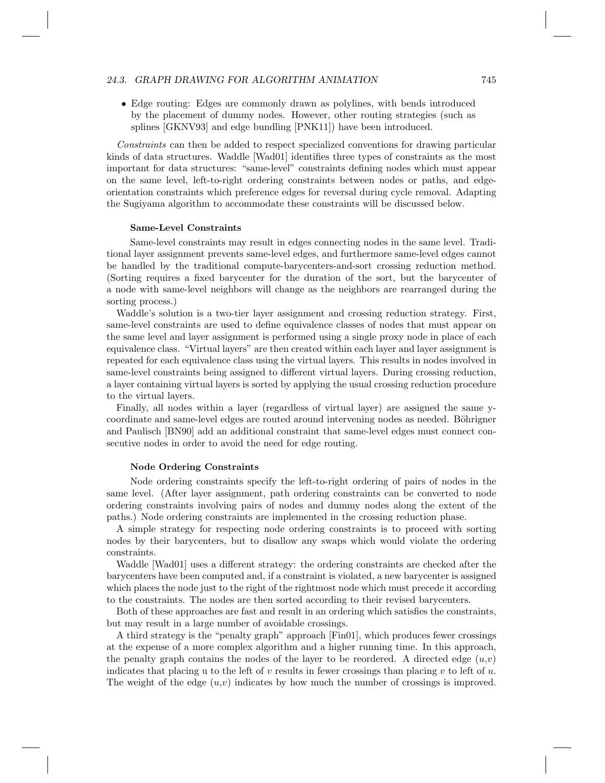#### 24.3. GRAPH DRAWING FOR ALGORITHM ANIMATION 745

• Edge routing: Edges are commonly drawn as polylines, with bends introduced by the placement of dummy nodes. However, other routing strategies (such as splines [GKNV93] and edge bundling [PNK11]) have been introduced.

Constraints can then be added to respect specialized conventions for drawing particular kinds of data structures. Waddle [Wad01] identifies three types of constraints as the most important for data structures: "same-level" constraints defining nodes which must appear on the same level, left-to-right ordering constraints between nodes or paths, and edgeorientation constraints which preference edges for reversal during cycle removal. Adapting the Sugiyama algorithm to accommodate these constraints will be discussed below.

#### Same-Level Constraints

Same-level constraints may result in edges connecting nodes in the same level. Traditional layer assignment prevents same-level edges, and furthermore same-level edges cannot be handled by the traditional compute-barycenters-and-sort crossing reduction method. (Sorting requires a fixed barycenter for the duration of the sort, but the barycenter of a node with same-level neighbors will change as the neighbors are rearranged during the sorting process.)

Waddle's solution is a two-tier layer assignment and crossing reduction strategy. First, same-level constraints are used to define equivalence classes of nodes that must appear on the same level and layer assignment is performed using a single proxy node in place of each equivalence class. "Virtual layers" are then created within each layer and layer assignment is repeated for each equivalence class using the virtual layers. This results in nodes involved in same-level constraints being assigned to different virtual layers. During crossing reduction, a layer containing virtual layers is sorted by applying the usual crossing reduction procedure to the virtual layers.

Finally, all nodes within a layer (regardless of virtual layer) are assigned the same ycoordinate and same-level edges are routed around intervening nodes as needed. Böhrigner and Paulisch [BN90] add an additional constraint that same-level edges must connect consecutive nodes in order to avoid the need for edge routing.

#### Node Ordering Constraints

Node ordering constraints specify the left-to-right ordering of pairs of nodes in the same level. (After layer assignment, path ordering constraints can be converted to node ordering constraints involving pairs of nodes and dummy nodes along the extent of the paths.) Node ordering constraints are implemented in the crossing reduction phase.

A simple strategy for respecting node ordering constraints is to proceed with sorting nodes by their barycenters, but to disallow any swaps which would violate the ordering constraints.

Waddle [Wad01] uses a different strategy: the ordering constraints are checked after the barycenters have been computed and, if a constraint is violated, a new barycenter is assigned which places the node just to the right of the rightmost node which must precede it according to the constraints. The nodes are then sorted according to their revised barycenters.

Both of these approaches are fast and result in an ordering which satisfies the constraints, but may result in a large number of avoidable crossings.

A third strategy is the "penalty graph" approach [Fin01], which produces fewer crossings at the expense of a more complex algorithm and a higher running time. In this approach, the penalty graph contains the nodes of the layer to be reordered. A directed edge  $(u,v)$ indicates that placing u to the left of v results in fewer crossings than placing v to left of u. The weight of the edge  $(u,v)$  indicates by how much the number of crossings is improved.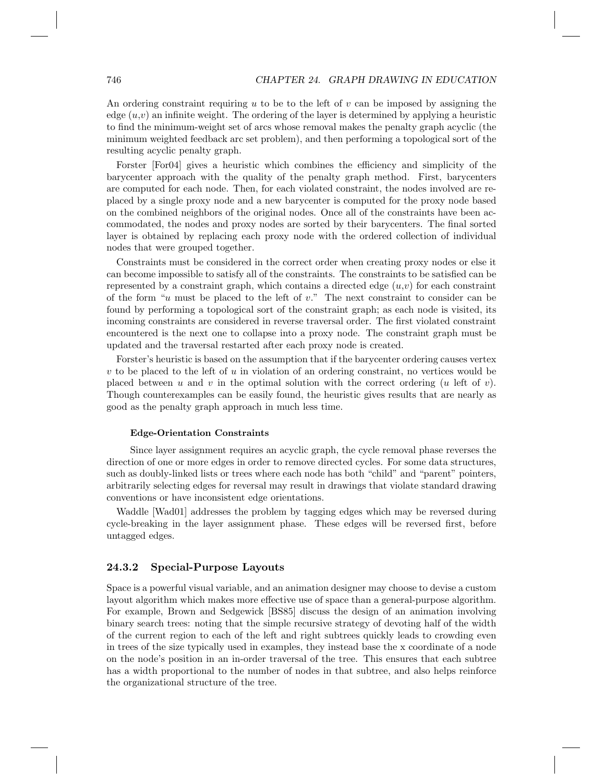An ordering constraint requiring u to be to the left of v can be imposed by assigning the edge  $(u, v)$  an infinite weight. The ordering of the layer is determined by applying a heuristic to find the minimum-weight set of arcs whose removal makes the penalty graph acyclic (the minimum weighted feedback arc set problem), and then performing a topological sort of the resulting acyclic penalty graph.

Forster [For04] gives a heuristic which combines the efficiency and simplicity of the barycenter approach with the quality of the penalty graph method. First, barycenters are computed for each node. Then, for each violated constraint, the nodes involved are replaced by a single proxy node and a new barycenter is computed for the proxy node based on the combined neighbors of the original nodes. Once all of the constraints have been accommodated, the nodes and proxy nodes are sorted by their barycenters. The final sorted layer is obtained by replacing each proxy node with the ordered collection of individual nodes that were grouped together.

Constraints must be considered in the correct order when creating proxy nodes or else it can become impossible to satisfy all of the constraints. The constraints to be satisfied can be represented by a constraint graph, which contains a directed edge  $(u,v)$  for each constraint of the form "u must be placed to the left of  $v$ ." The next constraint to consider can be found by performing a topological sort of the constraint graph; as each node is visited, its incoming constraints are considered in reverse traversal order. The first violated constraint encountered is the next one to collapse into a proxy node. The constraint graph must be updated and the traversal restarted after each proxy node is created.

Forster's heuristic is based on the assumption that if the barycenter ordering causes vertex  $v$  to be placed to the left of  $u$  in violation of an ordering constraint, no vertices would be placed between u and v in the optimal solution with the correct ordering (u left of v). Though counterexamples can be easily found, the heuristic gives results that are nearly as good as the penalty graph approach in much less time.

#### Edge-Orientation Constraints

Since layer assignment requires an acyclic graph, the cycle removal phase reverses the direction of one or more edges in order to remove directed cycles. For some data structures, such as doubly-linked lists or trees where each node has both "child" and "parent" pointers, arbitrarily selecting edges for reversal may result in drawings that violate standard drawing conventions or have inconsistent edge orientations.

Waddle [Wad01] addresses the problem by tagging edges which may be reversed during cycle-breaking in the layer assignment phase. These edges will be reversed first, before untagged edges.

#### 24.3.2 Special-Purpose Layouts

Space is a powerful visual variable, and an animation designer may choose to devise a custom layout algorithm which makes more effective use of space than a general-purpose algorithm. For example, Brown and Sedgewick [BS85] discuss the design of an animation involving binary search trees: noting that the simple recursive strategy of devoting half of the width of the current region to each of the left and right subtrees quickly leads to crowding even in trees of the size typically used in examples, they instead base the x coordinate of a node on the node's position in an in-order traversal of the tree. This ensures that each subtree has a width proportional to the number of nodes in that subtree, and also helps reinforce the organizational structure of the tree.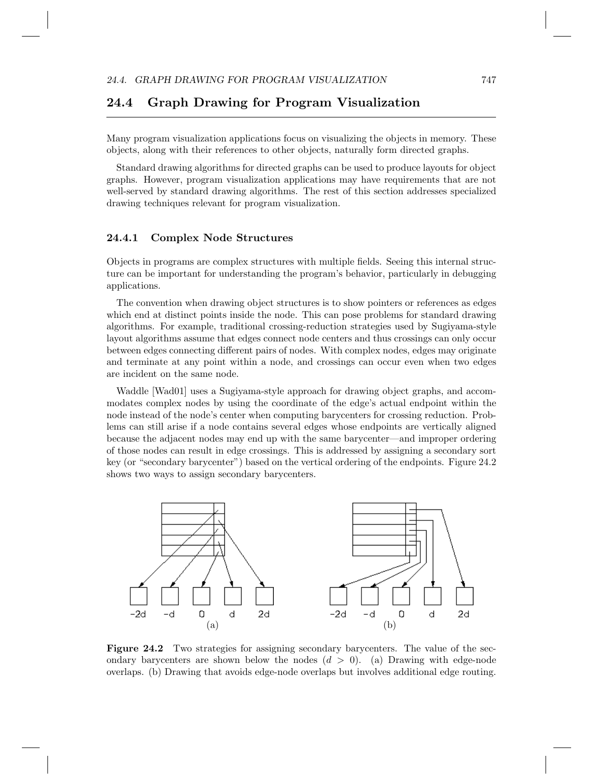#### 24.4 Graph Drawing for Program Visualization

Many program visualization applications focus on visualizing the objects in memory. These objects, along with their references to other objects, naturally form directed graphs.

Standard drawing algorithms for directed graphs can be used to produce layouts for object graphs. However, program visualization applications may have requirements that are not well-served by standard drawing algorithms. The rest of this section addresses specialized drawing techniques relevant for program visualization.

#### 24.4.1 Complex Node Structures

Objects in programs are complex structures with multiple fields. Seeing this internal structure can be important for understanding the program's behavior, particularly in debugging applications.

The convention when drawing object structures is to show pointers or references as edges which end at distinct points inside the node. This can pose problems for standard drawing algorithms. For example, traditional crossing-reduction strategies used by Sugiyama-style layout algorithms assume that edges connect node centers and thus crossings can only occur between edges connecting different pairs of nodes. With complex nodes, edges may originate and terminate at any point within a node, and crossings can occur even when two edges are incident on the same node.

Waddle [Wad01] uses a Sugiyama-style approach for drawing object graphs, and accommodates complex nodes by using the coordinate of the edge's actual endpoint within the node instead of the node's center when computing barycenters for crossing reduction. Problems can still arise if a node contains several edges whose endpoints are vertically aligned because the adjacent nodes may end up with the same barycenter—and improper ordering of those nodes can result in edge crossings. This is addressed by assigning a secondary sort key (or "secondary barycenter") based on the vertical ordering of the endpoints. Figure 24.2 shows two ways to assign secondary barycenters.



Figure 24.2 Two strategies for assigning secondary barycenters. The value of the secondary barycenters are shown below the nodes  $(d > 0)$ . (a) Drawing with edge-node overlaps. (b) Drawing that avoids edge-node overlaps but involves additional edge routing.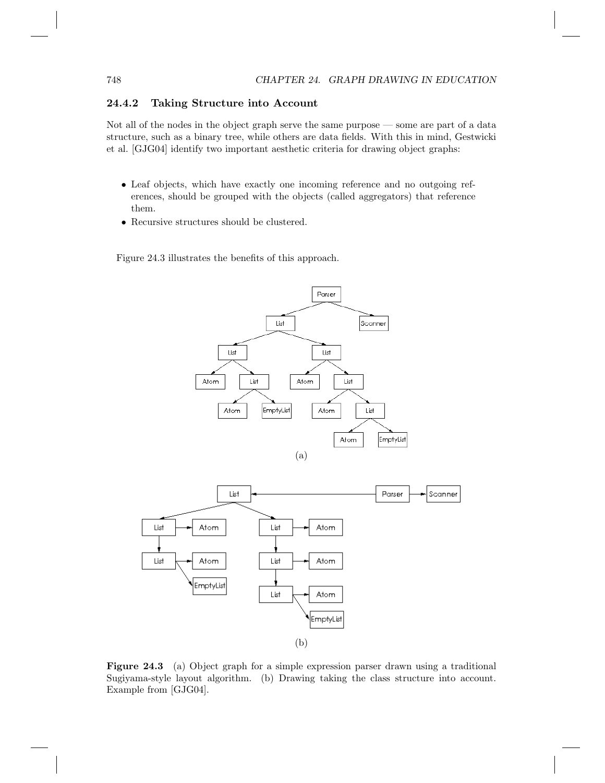#### 24.4.2 Taking Structure into Account

Not all of the nodes in the object graph serve the same purpose — some are part of a data structure, such as a binary tree, while others are data fields. With this in mind, Gestwicki et al. [GJG04] identify two important aesthetic criteria for drawing object graphs:

- Leaf objects, which have exactly one incoming reference and no outgoing references, should be grouped with the objects (called aggregators) that reference them.
- Recursive structures should be clustered.

Figure 24.3 illustrates the benefits of this approach.





Figure 24.3 (a) Object graph for a simple expression parser drawn using a traditional Sugiyama-style layout algorithm. (b) Drawing taking the class structure into account. Example from [GJG04].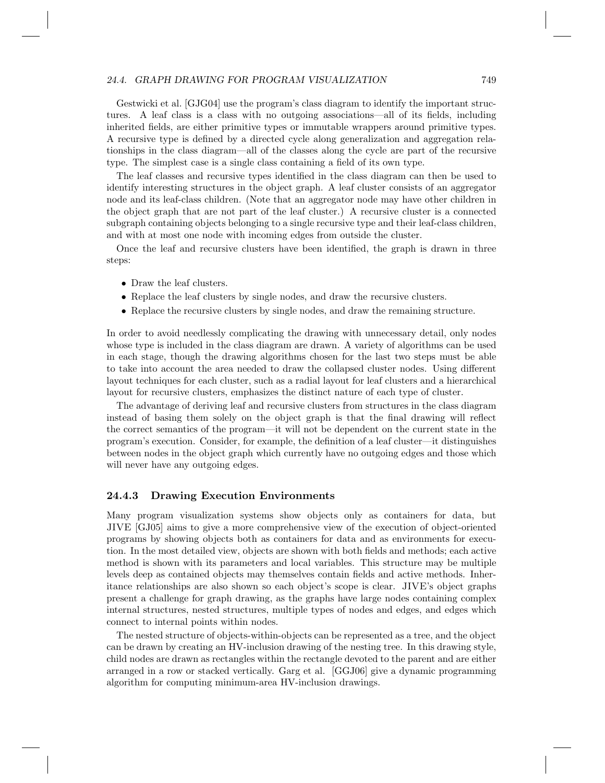#### 24.4. GRAPH DRAWING FOR PROGRAM VISUALIZATION 749

Gestwicki et al. [GJG04] use the program's class diagram to identify the important structures. A leaf class is a class with no outgoing associations—all of its fields, including inherited fields, are either primitive types or immutable wrappers around primitive types. A recursive type is defined by a directed cycle along generalization and aggregation relationships in the class diagram—all of the classes along the cycle are part of the recursive type. The simplest case is a single class containing a field of its own type.

The leaf classes and recursive types identified in the class diagram can then be used to identify interesting structures in the object graph. A leaf cluster consists of an aggregator node and its leaf-class children. (Note that an aggregator node may have other children in the object graph that are not part of the leaf cluster.) A recursive cluster is a connected subgraph containing objects belonging to a single recursive type and their leaf-class children, and with at most one node with incoming edges from outside the cluster.

Once the leaf and recursive clusters have been identified, the graph is drawn in three steps:

- Draw the leaf clusters.
- Replace the leaf clusters by single nodes, and draw the recursive clusters.
- Replace the recursive clusters by single nodes, and draw the remaining structure.

In order to avoid needlessly complicating the drawing with unnecessary detail, only nodes whose type is included in the class diagram are drawn. A variety of algorithms can be used in each stage, though the drawing algorithms chosen for the last two steps must be able to take into account the area needed to draw the collapsed cluster nodes. Using different layout techniques for each cluster, such as a radial layout for leaf clusters and a hierarchical layout for recursive clusters, emphasizes the distinct nature of each type of cluster.

The advantage of deriving leaf and recursive clusters from structures in the class diagram instead of basing them solely on the object graph is that the final drawing will reflect the correct semantics of the program—it will not be dependent on the current state in the program's execution. Consider, for example, the definition of a leaf cluster—it distinguishes between nodes in the object graph which currently have no outgoing edges and those which will never have any outgoing edges.

#### 24.4.3 Drawing Execution Environments

Many program visualization systems show objects only as containers for data, but JIVE [GJ05] aims to give a more comprehensive view of the execution of object-oriented programs by showing objects both as containers for data and as environments for execution. In the most detailed view, objects are shown with both fields and methods; each active method is shown with its parameters and local variables. This structure may be multiple levels deep as contained objects may themselves contain fields and active methods. Inheritance relationships are also shown so each object's scope is clear. JIVE's object graphs present a challenge for graph drawing, as the graphs have large nodes containing complex internal structures, nested structures, multiple types of nodes and edges, and edges which connect to internal points within nodes.

The nested structure of objects-within-objects can be represented as a tree, and the object can be drawn by creating an HV-inclusion drawing of the nesting tree. In this drawing style, child nodes are drawn as rectangles within the rectangle devoted to the parent and are either arranged in a row or stacked vertically. Garg et al. [GGJ06] give a dynamic programming algorithm for computing minimum-area HV-inclusion drawings.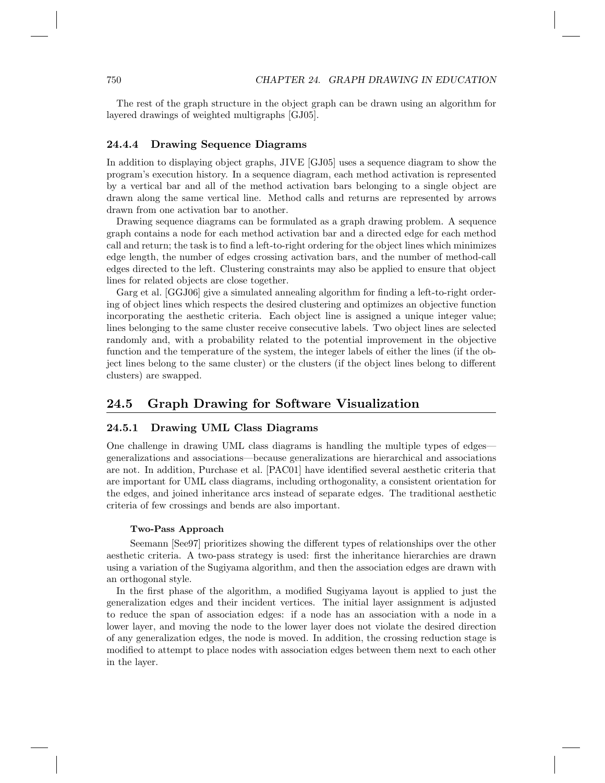The rest of the graph structure in the object graph can be drawn using an algorithm for layered drawings of weighted multigraphs [GJ05].

#### 24.4.4 Drawing Sequence Diagrams

In addition to displaying object graphs, JIVE [GJ05] uses a sequence diagram to show the program's execution history. In a sequence diagram, each method activation is represented by a vertical bar and all of the method activation bars belonging to a single object are drawn along the same vertical line. Method calls and returns are represented by arrows drawn from one activation bar to another.

Drawing sequence diagrams can be formulated as a graph drawing problem. A sequence graph contains a node for each method activation bar and a directed edge for each method call and return; the task is to find a left-to-right ordering for the object lines which minimizes edge length, the number of edges crossing activation bars, and the number of method-call edges directed to the left. Clustering constraints may also be applied to ensure that object lines for related objects are close together.

Garg et al. [GGJ06] give a simulated annealing algorithm for finding a left-to-right ordering of object lines which respects the desired clustering and optimizes an objective function incorporating the aesthetic criteria. Each object line is assigned a unique integer value; lines belonging to the same cluster receive consecutive labels. Two object lines are selected randomly and, with a probability related to the potential improvement in the objective function and the temperature of the system, the integer labels of either the lines (if the object lines belong to the same cluster) or the clusters (if the object lines belong to different clusters) are swapped.

#### 24.5 Graph Drawing for Software Visualization

#### 24.5.1 Drawing UML Class Diagrams

One challenge in drawing UML class diagrams is handling the multiple types of edges generalizations and associations—because generalizations are hierarchical and associations are not. In addition, Purchase et al. [PAC01] have identified several aesthetic criteria that are important for UML class diagrams, including orthogonality, a consistent orientation for the edges, and joined inheritance arcs instead of separate edges. The traditional aesthetic criteria of few crossings and bends are also important.

#### Two-Pass Approach

Seemann [See97] prioritizes showing the different types of relationships over the other aesthetic criteria. A two-pass strategy is used: first the inheritance hierarchies are drawn using a variation of the Sugiyama algorithm, and then the association edges are drawn with an orthogonal style.

In the first phase of the algorithm, a modified Sugiyama layout is applied to just the generalization edges and their incident vertices. The initial layer assignment is adjusted to reduce the span of association edges: if a node has an association with a node in a lower layer, and moving the node to the lower layer does not violate the desired direction of any generalization edges, the node is moved. In addition, the crossing reduction stage is modified to attempt to place nodes with association edges between them next to each other in the layer.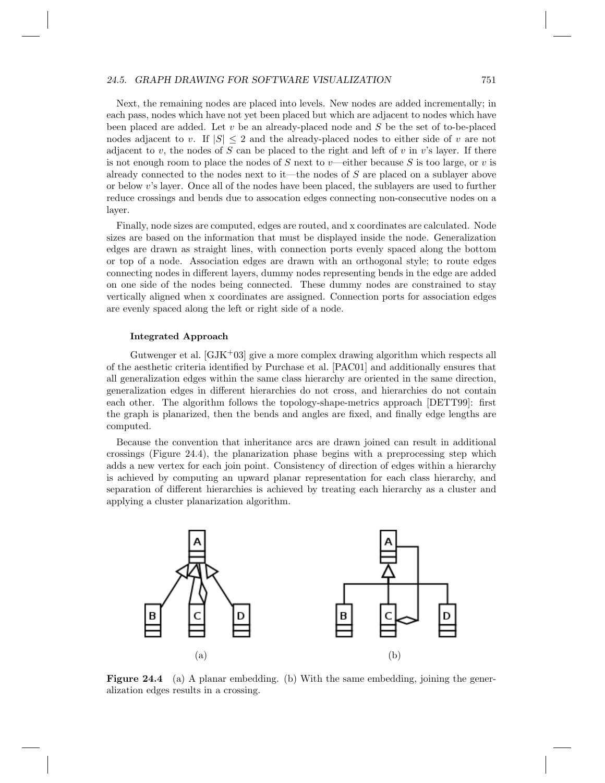#### 24.5. GRAPH DRAWING FOR SOFTWARE VISUALIZATION 751

Next, the remaining nodes are placed into levels. New nodes are added incrementally; in each pass, nodes which have not yet been placed but which are adjacent to nodes which have been placed are added. Let v be an already-placed node and  $S$  be the set of to-be-placed nodes adjacent to v. If  $|S| \leq 2$  and the already-placed nodes to either side of v are not adjacent to v, the nodes of S can be placed to the right and left of v in v's layer. If there is not enough room to place the nodes of S next to  $v$ —either because S is too large, or v is already connected to the nodes next to it—the nodes of  $S$  are placed on a sublayer above or below v's layer. Once all of the nodes have been placed, the sublayers are used to further reduce crossings and bends due to assocation edges connecting non-consecutive nodes on a layer.

Finally, node sizes are computed, edges are routed, and x coordinates are calculated. Node sizes are based on the information that must be displayed inside the node. Generalization edges are drawn as straight lines, with connection ports evenly spaced along the bottom or top of a node. Association edges are drawn with an orthogonal style; to route edges connecting nodes in different layers, dummy nodes representing bends in the edge are added on one side of the nodes being connected. These dummy nodes are constrained to stay vertically aligned when x coordinates are assigned. Connection ports for association edges are evenly spaced along the left or right side of a node.

#### Integrated Approach

Gutwenger et al.  $[GJK^+03]$  give a more complex drawing algorithm which respects all of the aesthetic criteria identified by Purchase et al. [PAC01] and additionally ensures that all generalization edges within the same class hierarchy are oriented in the same direction, generalization edges in different hierarchies do not cross, and hierarchies do not contain each other. The algorithm follows the topology-shape-metrics approach [DETT99]: first the graph is planarized, then the bends and angles are fixed, and finally edge lengths are computed.

Because the convention that inheritance arcs are drawn joined can result in additional crossings (Figure 24.4), the planarization phase begins with a preprocessing step which adds a new vertex for each join point. Consistency of direction of edges within a hierarchy is achieved by computing an upward planar representation for each class hierarchy, and separation of different hierarchies is achieved by treating each hierarchy as a cluster and applying a cluster planarization algorithm.



Figure 24.4 (a) A planar embedding. (b) With the same embedding, joining the generalization edges results in a crossing.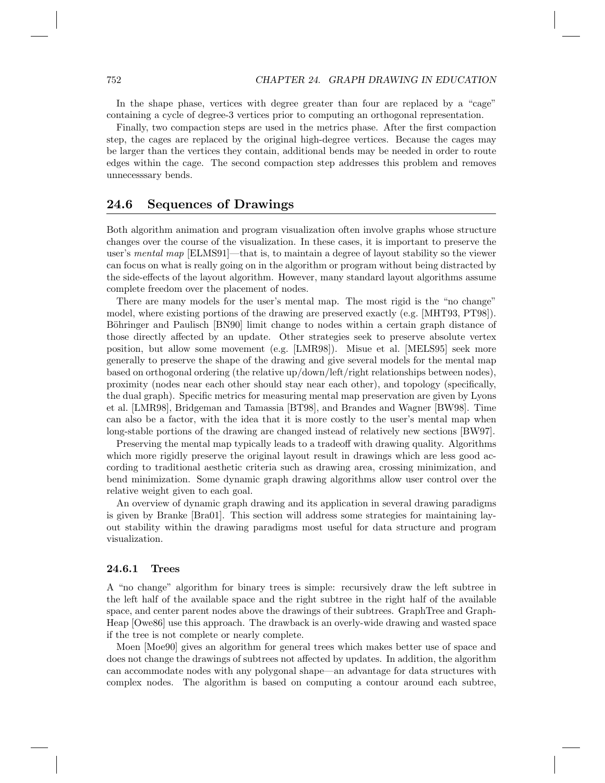In the shape phase, vertices with degree greater than four are replaced by a "cage" containing a cycle of degree-3 vertices prior to computing an orthogonal representation.

Finally, two compaction steps are used in the metrics phase. After the first compaction step, the cages are replaced by the original high-degree vertices. Because the cages may be larger than the vertices they contain, additional bends may be needed in order to route edges within the cage. The second compaction step addresses this problem and removes unnecesssary bends.

#### 24.6 Sequences of Drawings

Both algorithm animation and program visualization often involve graphs whose structure changes over the course of the visualization. In these cases, it is important to preserve the user's mental map [ELMS91]—that is, to maintain a degree of layout stability so the viewer can focus on what is really going on in the algorithm or program without being distracted by the side-effects of the layout algorithm. However, many standard layout algorithms assume complete freedom over the placement of nodes.

There are many models for the user's mental map. The most rigid is the "no change" model, where existing portions of the drawing are preserved exactly (e.g. [MHT93, PT98]). Böhringer and Paulisch [BN90] limit change to nodes within a certain graph distance of those directly affected by an update. Other strategies seek to preserve absolute vertex position, but allow some movement (e.g. [LMR98]). Misue et al. [MELS95] seek more generally to preserve the shape of the drawing and give several models for the mental map based on orthogonal ordering (the relative up/down/left/right relationships between nodes), proximity (nodes near each other should stay near each other), and topology (specifically, the dual graph). Specific metrics for measuring mental map preservation are given by Lyons et al. [LMR98], Bridgeman and Tamassia [BT98], and Brandes and Wagner [BW98]. Time can also be a factor, with the idea that it is more costly to the user's mental map when long-stable portions of the drawing are changed instead of relatively new sections [BW97].

Preserving the mental map typically leads to a tradeoff with drawing quality. Algorithms which more rigidly preserve the original layout result in drawings which are less good according to traditional aesthetic criteria such as drawing area, crossing minimization, and bend minimization. Some dynamic graph drawing algorithms allow user control over the relative weight given to each goal.

An overview of dynamic graph drawing and its application in several drawing paradigms is given by Branke [Bra01]. This section will address some strategies for maintaining layout stability within the drawing paradigms most useful for data structure and program visualization.

#### 24.6.1 Trees

A "no change" algorithm for binary trees is simple: recursively draw the left subtree in the left half of the available space and the right subtree in the right half of the available space, and center parent nodes above the drawings of their subtrees. GraphTree and Graph-Heap [Owe86] use this approach. The drawback is an overly-wide drawing and wasted space if the tree is not complete or nearly complete.

Moen [Moe90] gives an algorithm for general trees which makes better use of space and does not change the drawings of subtrees not affected by updates. In addition, the algorithm can accommodate nodes with any polygonal shape—an advantage for data structures with complex nodes. The algorithm is based on computing a contour around each subtree,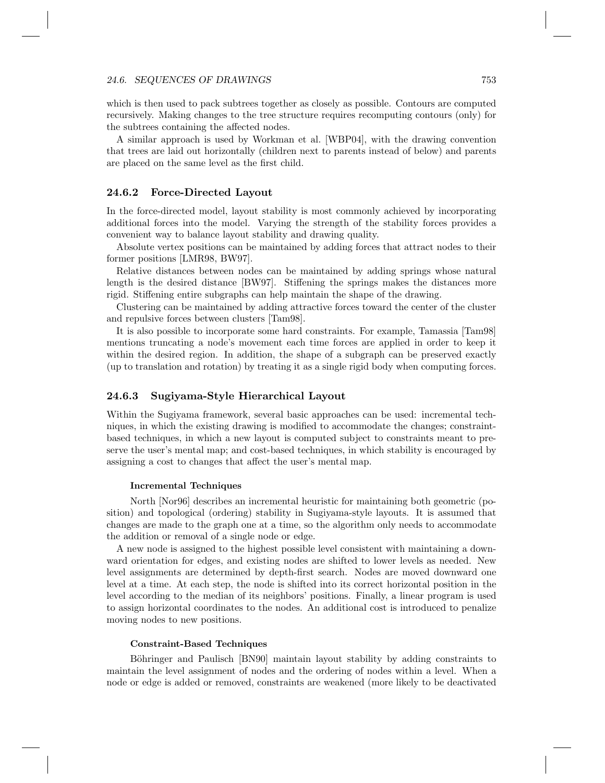#### 24.6. SEQUENCES OF DRAWINGS 753

which is then used to pack subtrees together as closely as possible. Contours are computed recursively. Making changes to the tree structure requires recomputing contours (only) for the subtrees containing the affected nodes.

A similar approach is used by Workman et al. [WBP04], with the drawing convention that trees are laid out horizontally (children next to parents instead of below) and parents are placed on the same level as the first child.

#### 24.6.2 Force-Directed Layout

In the force-directed model, layout stability is most commonly achieved by incorporating additional forces into the model. Varying the strength of the stability forces provides a convenient way to balance layout stability and drawing quality.

Absolute vertex positions can be maintained by adding forces that attract nodes to their former positions [LMR98, BW97].

Relative distances between nodes can be maintained by adding springs whose natural length is the desired distance [BW97]. Stiffening the springs makes the distances more rigid. Stiffening entire subgraphs can help maintain the shape of the drawing.

Clustering can be maintained by adding attractive forces toward the center of the cluster and repulsive forces between clusters [Tam98].

It is also possible to incorporate some hard constraints. For example, Tamassia [Tam98] mentions truncating a node's movement each time forces are applied in order to keep it within the desired region. In addition, the shape of a subgraph can be preserved exactly (up to translation and rotation) by treating it as a single rigid body when computing forces.

#### 24.6.3 Sugiyama-Style Hierarchical Layout

Within the Sugiyama framework, several basic approaches can be used: incremental techniques, in which the existing drawing is modified to accommodate the changes; constraintbased techniques, in which a new layout is computed subject to constraints meant to preserve the user's mental map; and cost-based techniques, in which stability is encouraged by assigning a cost to changes that affect the user's mental map.

#### Incremental Techniques

North [Nor96] describes an incremental heuristic for maintaining both geometric (position) and topological (ordering) stability in Sugiyama-style layouts. It is assumed that changes are made to the graph one at a time, so the algorithm only needs to accommodate the addition or removal of a single node or edge.

A new node is assigned to the highest possible level consistent with maintaining a downward orientation for edges, and existing nodes are shifted to lower levels as needed. New level assignments are determined by depth-first search. Nodes are moved downward one level at a time. At each step, the node is shifted into its correct horizontal position in the level according to the median of its neighbors' positions. Finally, a linear program is used to assign horizontal coordinates to the nodes. An additional cost is introduced to penalize moving nodes to new positions.

#### Constraint-Based Techniques

Böhringer and Paulisch [BN90] maintain layout stability by adding constraints to maintain the level assignment of nodes and the ordering of nodes within a level. When a node or edge is added or removed, constraints are weakened (more likely to be deactivated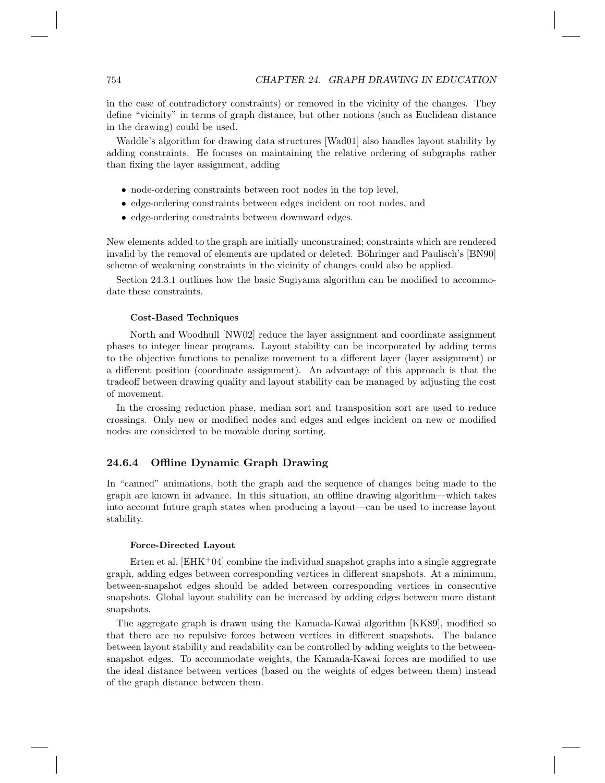in the case of contradictory constraints) or removed in the vicinity of the changes. They define "vicinity" in terms of graph distance, but other notions (such as Euclidean distance in the drawing) could be used.

Waddle's algorithm for drawing data structures [Wad01] also handles layout stability by adding constraints. He focuses on maintaining the relative ordering of subgraphs rather than fixing the layer assignment, adding

- node-ordering constraints between root nodes in the top level,
- edge-ordering constraints between edges incident on root nodes, and
- edge-ordering constraints between downward edges.

New elements added to the graph are initially unconstrained; constraints which are rendered invalid by the removal of elements are updated or deleted. Böhringer and Paulisch's [BN90] scheme of weakening constraints in the vicinity of changes could also be applied.

Section 24.3.1 outlines how the basic Sugiyama algorithm can be modified to accommodate these constraints.

#### Cost-Based Techniques

North and Woodhull [NW02] reduce the layer assignment and coordinate assignment phases to integer linear programs. Layout stability can be incorporated by adding terms to the objective functions to penalize movement to a different layer (layer assignment) or a different position (coordinate assignment). An advantage of this approach is that the tradeoff between drawing quality and layout stability can be managed by adjusting the cost of movement.

In the crossing reduction phase, median sort and transposition sort are used to reduce crossings. Only new or modified nodes and edges and edges incident on new or modified nodes are considered to be movable during sorting.

#### 24.6.4 Offline Dynamic Graph Drawing

In "canned" animations, both the graph and the sequence of changes being made to the graph are known in advance. In this situation, an offline drawing algorithm—which takes into account future graph states when producing a layout—can be used to increase layout stability.

#### Force-Directed Layout

Erten et al.  $[EHK+04]$  combine the individual snapshot graphs into a single aggregrate graph, adding edges between corresponding vertices in different snapshots. At a minimum, between-snapshot edges should be added between corresponding vertices in consecutive snapshots. Global layout stability can be increased by adding edges between more distant snapshots.

The aggregate graph is drawn using the Kamada-Kawai algorithm [KK89], modified so that there are no repulsive forces between vertices in different snapshots. The balance between layout stability and readability can be controlled by adding weights to the betweensnapshot edges. To accommodate weights, the Kamada-Kawai forces are modified to use the ideal distance between vertices (based on the weights of edges between them) instead of the graph distance between them.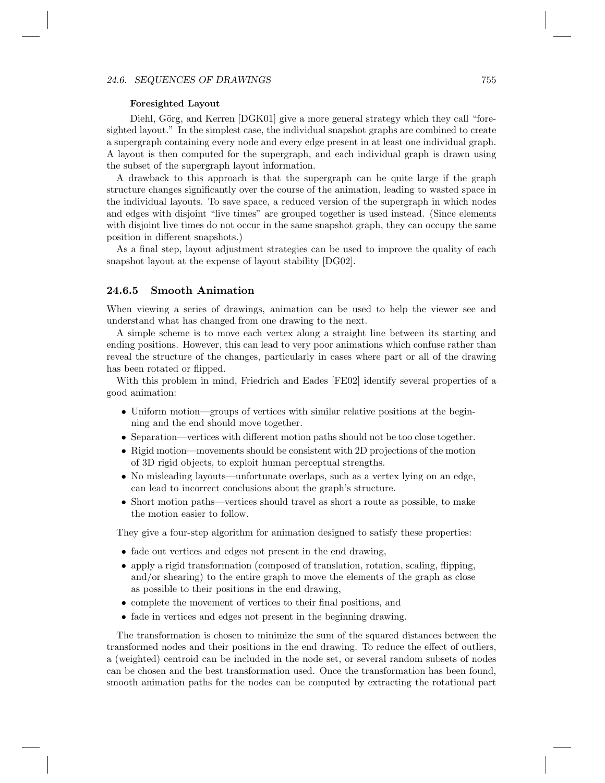#### 24.6. SEQUENCES OF DRAWINGS 755

#### Foresighted Layout

Diehl, Görg, and Kerren [DGK01] give a more general strategy which they call "foresighted layout." In the simplest case, the individual snapshot graphs are combined to create a supergraph containing every node and every edge present in at least one individual graph. A layout is then computed for the supergraph, and each individual graph is drawn using the subset of the supergraph layout information.

A drawback to this approach is that the supergraph can be quite large if the graph structure changes significantly over the course of the animation, leading to wasted space in the individual layouts. To save space, a reduced version of the supergraph in which nodes and edges with disjoint "live times" are grouped together is used instead. (Since elements with disjoint live times do not occur in the same snapshot graph, they can occupy the same position in different snapshots.)

As a final step, layout adjustment strategies can be used to improve the quality of each snapshot layout at the expense of layout stability [DG02].

#### 24.6.5 Smooth Animation

When viewing a series of drawings, animation can be used to help the viewer see and understand what has changed from one drawing to the next.

A simple scheme is to move each vertex along a straight line between its starting and ending positions. However, this can lead to very poor animations which confuse rather than reveal the structure of the changes, particularly in cases where part or all of the drawing has been rotated or flipped.

With this problem in mind, Friedrich and Eades [FE02] identify several properties of a good animation:

- Uniform motion—groups of vertices with similar relative positions at the beginning and the end should move together.
- Separation—vertices with different motion paths should not be too close together.
- Rigid motion—movements should be consistent with 2D projections of the motion of 3D rigid objects, to exploit human perceptual strengths.
- No misleading layouts—unfortunate overlaps, such as a vertex lying on an edge, can lead to incorrect conclusions about the graph's structure.
- Short motion paths—vertices should travel as short a route as possible, to make the motion easier to follow.

They give a four-step algorithm for animation designed to satisfy these properties:

- fade out vertices and edges not present in the end drawing,
- apply a rigid transformation (composed of translation, rotation, scaling, flipping, and/or shearing) to the entire graph to move the elements of the graph as close as possible to their positions in the end drawing,
- complete the movement of vertices to their final positions, and
- fade in vertices and edges not present in the beginning drawing.

The transformation is chosen to minimize the sum of the squared distances between the transformed nodes and their positions in the end drawing. To reduce the effect of outliers, a (weighted) centroid can be included in the node set, or several random subsets of nodes can be chosen and the best transformation used. Once the transformation has been found, smooth animation paths for the nodes can be computed by extracting the rotational part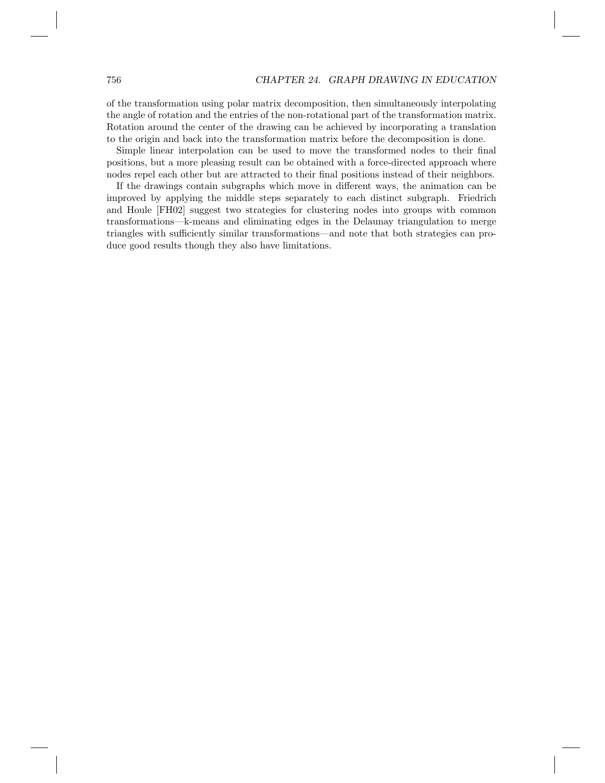of the transformation using polar matrix decomposition, then simultaneously interpolating the angle of rotation and the entries of the non-rotational part of the transformation matrix. Rotation around the center of the drawing can be achieved by incorporating a translation to the origin and back into the transformation matrix before the decomposition is done.

Simple linear interpolation can be used to move the transformed nodes to their final positions, but a more pleasing result can be obtained with a force-directed approach where nodes repel each other but are attracted to their final positions instead of their neighbors.

If the drawings contain subgraphs which move in different ways, the animation can be improved by applying the middle steps separately to each distinct subgraph. Friedrich and Houle [FH02] suggest two strategies for clustering nodes into groups with common transformations—k-means and eliminating edges in the Delaunay triangulation to merge triangles with sufficiently similar transformations—and note that both strategies can produce good results though they also have limitations.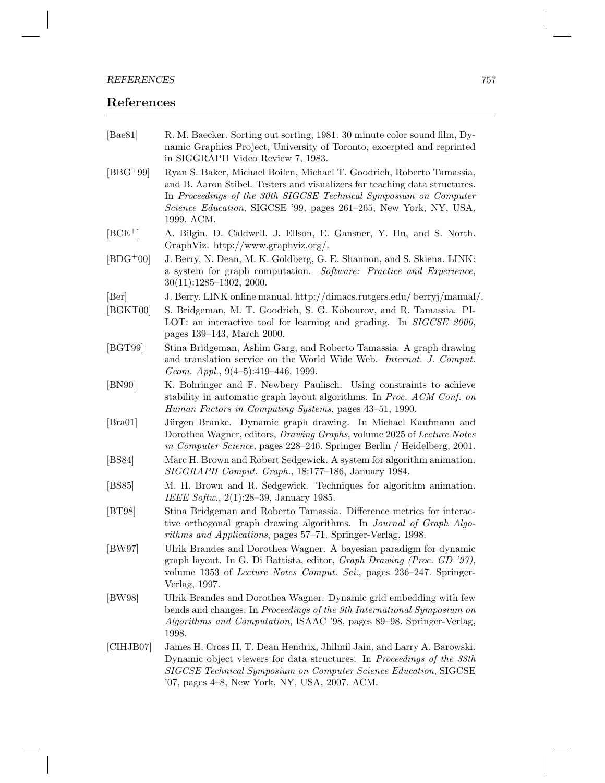### References

| [Bae81]                     | R. M. Baecker. Sorting out sorting, 1981. 30 minute color sound film, Dy-<br>namic Graphics Project, University of Toronto, excerpted and reprinted<br>in SIGGRAPH Video Review 7, 1983.                                                                                                                           |
|-----------------------------|--------------------------------------------------------------------------------------------------------------------------------------------------------------------------------------------------------------------------------------------------------------------------------------------------------------------|
| $[BBG+99]$                  | Ryan S. Baker, Michael Boilen, Michael T. Goodrich, Roberto Tamassia,<br>and B. Aaron Stibel. Testers and visualizers for teaching data structures.<br>In Proceedings of the 30th SIGCSE Technical Symposium on Computer<br><i>Science Education</i> , SIGCSE '99, pages 261–265, New York, NY, USA,<br>1999. ACM. |
| $[{\rm BCE^+}]$             | A. Bilgin, D. Caldwell, J. Ellson, E. Gansner, Y. Hu, and S. North.<br>GraphViz. http://www.graphviz.org/.                                                                                                                                                                                                         |
| $[BDG^{+}00]$               | J. Berry, N. Dean, M. K. Goldberg, G. E. Shannon, and S. Skiena. LINK:<br>a system for graph computation. Software: Practice and Experience,<br>$30(11):1285-1302, 2000.$                                                                                                                                          |
| [Ber]                       | J. Berry. LINK online manual. http://dimacs.rutgers.edu/berryj/manual/.                                                                                                                                                                                                                                            |
| [BGKT00]                    | S. Bridgeman, M. T. Goodrich, S. G. Kobourov, and R. Tamassia. PI-<br>LOT: an interactive tool for learning and grading. In <i>SIGCSE 2000</i> ,<br>pages 139–143, March 2000.                                                                                                                                     |
| [BT99]                      | Stina Bridgeman, Ashim Garg, and Roberto Tamassia. A graph drawing<br>and translation service on the World Wide Web. Internat. J. Comput.<br>Geom. Appl., $9(4-5):419-446$ , 1999.                                                                                                                                 |
| [BN90]                      | K. Bohringer and F. Newbery Paulisch. Using constraints to achieve<br>stability in automatic graph layout algorithms. In <i>Proc. ACM Conf. on</i><br>Human Factors in Computing Systems, pages 43-51, 1990.                                                                                                       |
| $\left[\text{Bra}01\right]$ | Jürgen Branke. Dynamic graph drawing. In Michael Kaufmann and<br>Dorothea Wagner, editors, <i>Drawing Graphs</i> , volume 2025 of <i>Lecture Notes</i><br>in Computer Science, pages 228–246. Springer Berlin / Heidelberg, 2001.                                                                                  |
| [BS84]                      | Marc H. Brown and Robert Sedgewick. A system for algorithm animation.<br>SIGGRAPH Comput. Graph., 18:177-186, January 1984.                                                                                                                                                                                        |
| $[{\rm B} {\rm S} 85]$      | M. H. Brown and R. Sedgewick. Techniques for algorithm animation.<br>IEEE Softw., $2(1):28-39$ , January 1985.                                                                                                                                                                                                     |
| [BT98]                      | Stina Bridgeman and Roberto Tamassia. Difference metrics for interac-<br>tive orthogonal graph drawing algorithms. In <i>Journal of Graph Algo</i> -<br>rithms and Applications, pages 57–71. Springer-Verlag, 1998.                                                                                               |
| [BW97]                      | Ulrik Brandes and Dorothea Wagner. A bayesian paradigm for dynamic<br>graph layout. In G. Di Battista, editor, <i>Graph Drawing (Proc. GD '97)</i> ,<br>volume 1353 of <i>Lecture Notes Comput. Sci.</i> , pages 236-247. Springer-<br>Verlag, 1997.                                                               |
| [BW98]                      | Ulrik Brandes and Dorothea Wagner. Dynamic grid embedding with few<br>bends and changes. In Proceedings of the 9th International Symposium on<br>Algorithms and Computation, ISAAC '98, pages 89–98. Springer-Verlag,<br>1998.                                                                                     |
| [CHJB07]                    | James H. Cross II, T. Dean Hendrix, Jhilmil Jain, and Larry A. Barowski.<br>Dynamic object viewers for data structures. In Proceedings of the 38th<br>SIGCSE Technical Symposium on Computer Science Education, SIGCSE<br>'07, pages 4–8, New York, NY, USA, 2007. ACM.                                            |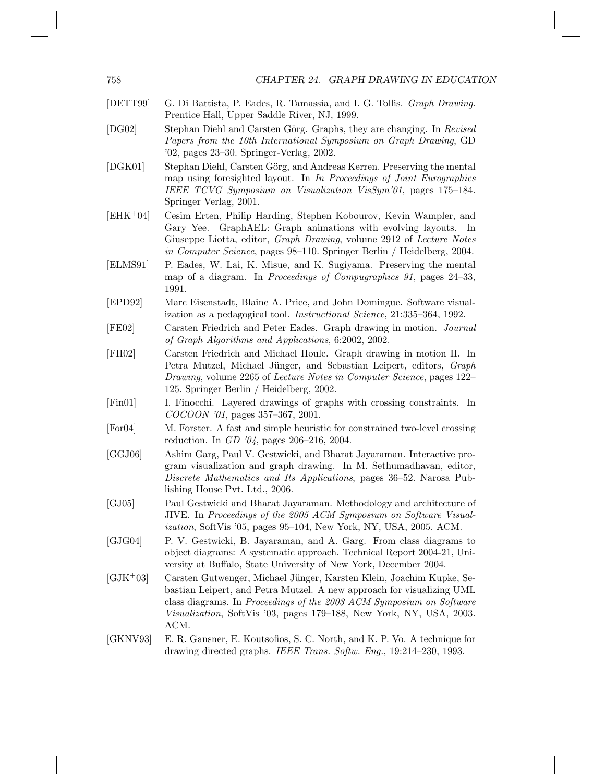- [DETT99] G. Di Battista, P. Eades, R. Tamassia, and I. G. Tollis. Graph Drawing. Prentice Hall, Upper Saddle River, NJ, 1999.
- [DG02] Stephan Diehl and Carsten Görg. Graphs, they are changing. In Revised Papers from the 10th International Symposium on Graph Drawing, GD '02, pages 23–30. Springer-Verlag, 2002.
- [DGK01] Stephan Diehl, Carsten G¨org, and Andreas Kerren. Preserving the mental map using foresighted layout. In In Proceedings of Joint Eurographics IEEE TCVG Symposium on Visualization VisSym'01, pages 175–184. Springer Verlag, 2001.
- [EHK+04] Cesim Erten, Philip Harding, Stephen Kobourov, Kevin Wampler, and Gary Yee. GraphAEL: Graph animations with evolving layouts. In Giuseppe Liotta, editor, Graph Drawing, volume 2912 of Lecture Notes in Computer Science, pages 98–110. Springer Berlin / Heidelberg, 2004.
- [ELMS91] P. Eades, W. Lai, K. Misue, and K. Sugiyama. Preserving the mental map of a diagram. In Proceedings of Compugraphics 91, pages 24–33, 1991.
- [EPD92] Marc Eisenstadt, Blaine A. Price, and John Domingue. Software visualization as a pedagogical tool. Instructional Science, 21:335–364, 1992.
- [FE02] Carsten Friedrich and Peter Eades. Graph drawing in motion. Journal of Graph Algorithms and Applications, 6:2002, 2002.
- [FH02] Carsten Friedrich and Michael Houle. Graph drawing in motion II. In Petra Mutzel, Michael Jünger, and Sebastian Leipert, editors, Graph Drawing, volume 2265 of Lecture Notes in Computer Science, pages 122– 125. Springer Berlin / Heidelberg, 2002.
- [Fin01] I. Finocchi. Layered drawings of graphs with crossing constraints. In COCOON '01, pages 357–367, 2001.
- [For04] M. Forster. A fast and simple heuristic for constrained two-level crossing reduction. In GD '04, pages 206–216, 2004.
- [GGJ06] Ashim Garg, Paul V. Gestwicki, and Bharat Jayaraman. Interactive program visualization and graph drawing. In M. Sethumadhavan, editor, Discrete Mathematics and Its Applications, pages 36–52. Narosa Publishing House Pvt. Ltd., 2006.
- [GJ05] Paul Gestwicki and Bharat Jayaraman. Methodology and architecture of JIVE. In Proceedings of the 2005 ACM Symposium on Software Visualization, SoftVis '05, pages 95–104, New York, NY, USA, 2005. ACM.
- [GJG04] P. V. Gestwicki, B. Jayaraman, and A. Garg. From class diagrams to object diagrams: A systematic approach. Technical Report 2004-21, University at Buffalo, State University of New York, December 2004.
- $[GJK^+03]$  Carsten Gutwenger, Michael Jünger, Karsten Klein, Joachim Kupke, Sebastian Leipert, and Petra Mutzel. A new approach for visualizing UML class diagrams. In Proceedings of the 2003 ACM Symposium on Software Visualization, SoftVis '03, pages 179–188, New York, NY, USA, 2003. ACM.
- [GKNV93] E. R. Gansner, E. Koutsofios, S. C. North, and K. P. Vo. A technique for drawing directed graphs. IEEE Trans. Softw. Eng., 19:214–230, 1993.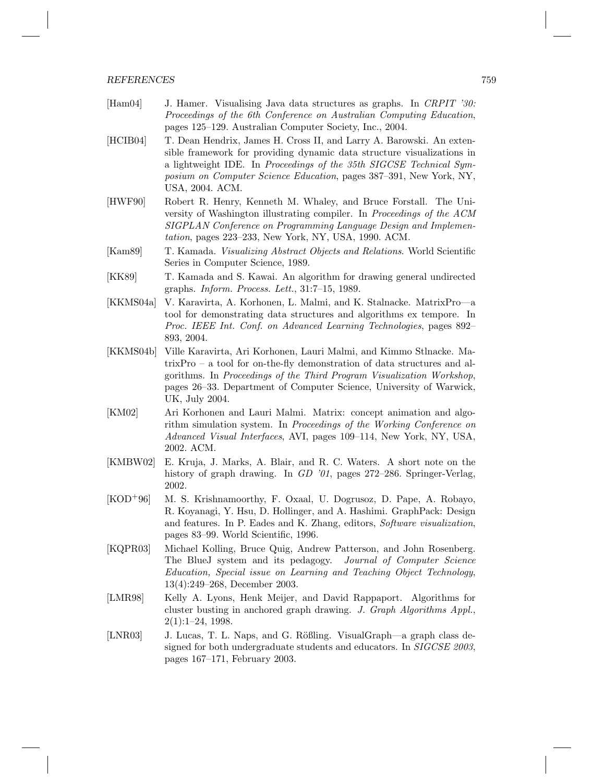#### REFERENCES 759

- [Ham04] J. Hamer. Visualising Java data structures as graphs. In CRPIT '30: Proceedings of the 6th Conference on Australian Computing Education, pages 125–129. Australian Computer Society, Inc., 2004.
- [HCIB04] T. Dean Hendrix, James H. Cross II, and Larry A. Barowski. An extensible framework for providing dynamic data structure visualizations in a lightweight IDE. In Proceedings of the 35th SIGCSE Technical Symposium on Computer Science Education, pages 387–391, New York, NY, USA, 2004. ACM.
- [HWF90] Robert R. Henry, Kenneth M. Whaley, and Bruce Forstall. The University of Washington illustrating compiler. In Proceedings of the ACM SIGPLAN Conference on Programming Language Design and Implementation, pages 223–233, New York, NY, USA, 1990. ACM.
- [Kam89] T. Kamada. Visualizing Abstract Objects and Relations. World Scientific Series in Computer Science, 1989.
- [KK89] T. Kamada and S. Kawai. An algorithm for drawing general undirected graphs. Inform. Process. Lett., 31:7–15, 1989.
- [KKMS04a] V. Karavirta, A. Korhonen, L. Malmi, and K. Stalnacke. MatrixPro—a tool for demonstrating data structures and algorithms ex tempore. In Proc. IEEE Int. Conf. on Advanced Learning Technologies, pages 892– 893, 2004.
- [KKMS04b] Ville Karavirta, Ari Korhonen, Lauri Malmi, and Kimmo Stlnacke. MatrixPro – a tool for on-the-fly demonstration of data structures and algorithms. In Proceedings of the Third Program Visualization Workshop, pages 26–33. Department of Computer Science, University of Warwick, UK, July 2004.
- [KM02] Ari Korhonen and Lauri Malmi. Matrix: concept animation and algorithm simulation system. In Proceedings of the Working Conference on Advanced Visual Interfaces, AVI, pages 109–114, New York, NY, USA, 2002. ACM.
- [KMBW02] E. Kruja, J. Marks, A. Blair, and R. C. Waters. A short note on the history of graph drawing. In *GD '01*, pages 272–286. Springer-Verlag, 2002.
- [KOD+96] M. S. Krishnamoorthy, F. Oxaal, U. Dogrusoz, D. Pape, A. Robayo, R. Koyanagi, Y. Hsu, D. Hollinger, and A. Hashimi. GraphPack: Design and features. In P. Eades and K. Zhang, editors, Software visualization, pages 83–99. World Scientific, 1996.
- [KQPR03] Michael Kolling, Bruce Quig, Andrew Patterson, and John Rosenberg. The BlueJ system and its pedagogy. Journal of Computer Science Education, Special issue on Learning and Teaching Object Technology, 13(4):249–268, December 2003.
- [LMR98] Kelly A. Lyons, Henk Meijer, and David Rappaport. Algorithms for cluster busting in anchored graph drawing. J. Graph Algorithms Appl., 2(1):1–24, 1998.
- [LNR03] J. Lucas, T. L. Naps, and G. Rößling. VisualGraph—a graph class designed for both undergraduate students and educators. In SIGCSE 2003, pages 167–171, February 2003.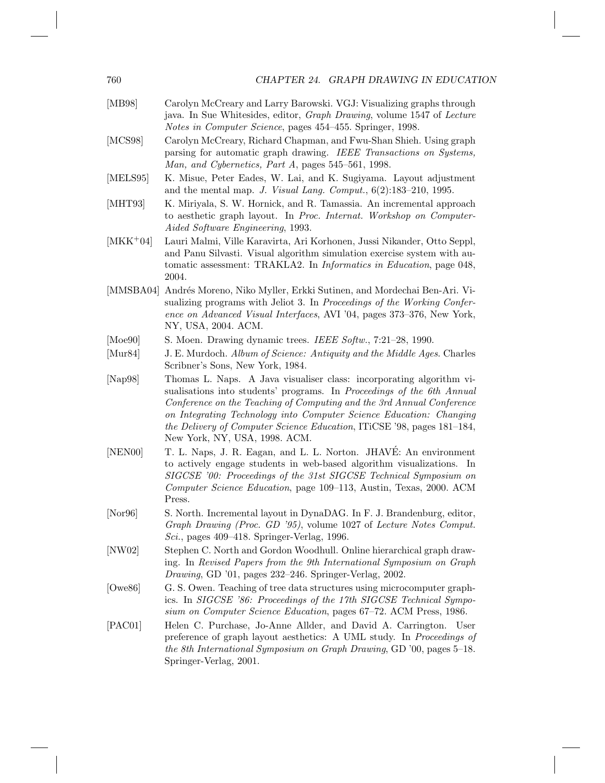| 760 | CHAPTER 24. GRAPH DRAWING IN EDUCATION |  |
|-----|----------------------------------------|--|
|     |                                        |  |

| [MB98]                        | Carolyn McCreary and Larry Barowski. VGJ: Visualizing graphs through<br>java. In Sue Whitesides, editor, Graph Drawing, volume 1547 of Lecture<br><i>Notes in Computer Science</i> , pages 454–455. Springer, 1998.                                                                                                                                                                                               |
|-------------------------------|-------------------------------------------------------------------------------------------------------------------------------------------------------------------------------------------------------------------------------------------------------------------------------------------------------------------------------------------------------------------------------------------------------------------|
| [MCS98]                       | Carolyn McCreary, Richard Chapman, and Fwu-Shan Shieh. Using graph<br>parsing for automatic graph drawing. IEEE Transactions on Systems,<br>Man, and Cybernetics, Part A, pages 545–561, 1998.                                                                                                                                                                                                                    |
| [MELS95]                      | K. Misue, Peter Eades, W. Lai, and K. Sugiyama. Layout adjustment<br>and the mental map. J. Visual Lang. Comput., $6(2):183-210$ , 1995.                                                                                                                                                                                                                                                                          |
| [MHT93]                       | K. Miriyala, S. W. Hornick, and R. Tamassia. An incremental approach<br>to aesthetic graph layout. In Proc. Internat. Workshop on Computer-<br>Aided Software Engineering, 1993.                                                                                                                                                                                                                                  |
| $[MKK^+04]$                   | Lauri Malmi, Ville Karavirta, Ari Korhonen, Jussi Nikander, Otto Seppl,<br>and Panu Silvasti. Visual algorithm simulation exercise system with au-<br>tomatic assessment: TRAKLA2. In <i>Informatics in Education</i> , page 048,<br>2004.                                                                                                                                                                        |
| [MMSBA04]                     | Andrés Moreno, Niko Myller, Erkki Sutinen, and Mordechai Ben-Ari. Vi-<br>sualizing programs with Jeliot 3. In Proceedings of the Working Confer-<br>ence on Advanced Visual Interfaces, AVI '04, pages 373-376, New York,<br>NY, USA, 2004. ACM.                                                                                                                                                                  |
| [Me90]                        | S. Moen. Drawing dynamic trees. IEEE Softw., 7:21-28, 1990.                                                                                                                                                                                                                                                                                                                                                       |
| $\left[ \text{Mur84} \right]$ | J. E. Murdoch. Album of Science: Antiquity and the Middle Ages. Charles<br>Scribner's Sons, New York, 1984.                                                                                                                                                                                                                                                                                                       |
| [Nap $98$ ]                   | Thomas L. Naps. A Java visualiser class: incorporating algorithm vi-<br>sualisations into students' programs. In Proceedings of the 6th Annual<br>Conference on the Teaching of Computing and the 3rd Annual Conference<br>on Integrating Technology into Computer Science Education: Changing<br><i>the Delivery of Computer Science Education</i> , ITiCSE '98, pages 181–184,<br>New York, NY, USA, 1998. ACM. |
| [NEN00]                       | T. L. Naps, J. R. Eagan, and L. L. Norton. JHAVE: An environment<br>to actively engage students in web-based algorithm visualizations. In<br>SIGCSE '00: Proceedings of the 31st SIGCSE Technical Symposium on<br>Computer Science Education, page 109–113, Austin, Texas, 2000. ACM<br>Press.                                                                                                                    |
| [Nor96]                       | S. North. Incremental layout in DynaDAG. In F. J. Brandenburg, editor,<br>Graph Drawing (Proc. GD '95), volume 1027 of Lecture Notes Comput.<br>$Sci.$ , pages 409–418. Springer-Verlag, 1996.                                                                                                                                                                                                                    |
| [NW02]                        | Stephen C. North and Gordon Woodhull. Online hierarchical graph draw-<br>ing. In Revised Papers from the 9th International Symposium on Graph<br><i>Drawing</i> , GD '01, pages 232–246. Springer-Verlag, 2002.                                                                                                                                                                                                   |
| [Owe86]                       | G. S. Owen. Teaching of tree data structures using microcomputer graph-<br>ics. In SIGCSE '86: Proceedings of the 17th SIGCSE Technical Sympo-<br>sium on Computer Science Education, pages 67–72. ACM Press, 1986.                                                                                                                                                                                               |
| [PAC01]                       | Helen C. Purchase, Jo-Anne Allder, and David A. Carrington. User<br>preference of graph layout aesthetics: A UML study. In Proceedings of<br>the 8th International Symposium on Graph Drawing, GD '00, pages 5-18.<br>Springer-Verlag, 2001.                                                                                                                                                                      |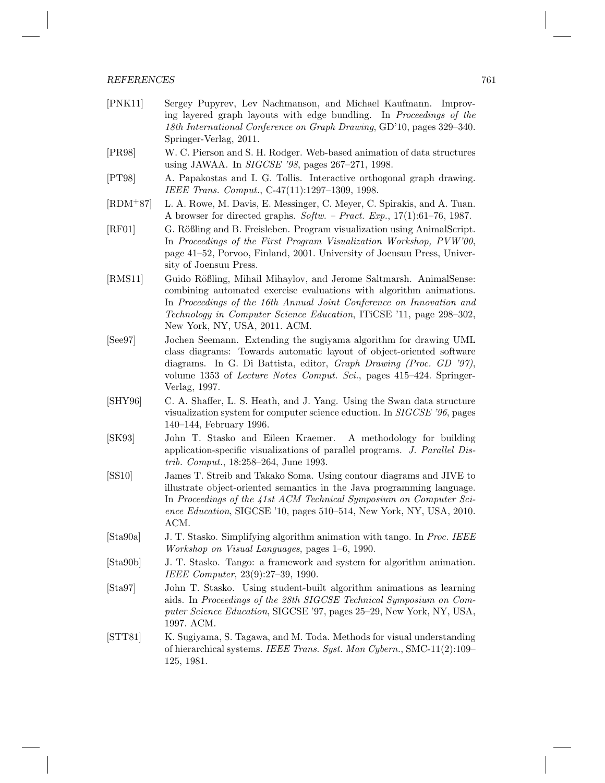#### REFERENCES 761

- [PNK11] Sergey Pupyrev, Lev Nachmanson, and Michael Kaufmann. Improving layered graph layouts with edge bundling. In Proceedings of the 18th International Conference on Graph Drawing, GD'10, pages 329–340. Springer-Verlag, 2011.
- [PR98] W. C. Pierson and S. H. Rodger. Web-based animation of data structures using JAWAA. In SIGCSE '98, pages 267–271, 1998.
- [PT98] A. Papakostas and I. G. Tollis. Interactive orthogonal graph drawing. IEEE Trans. Comput., C-47(11):1297–1309, 1998.
- [RDM+87] L. A. Rowe, M. Davis, E. Messinger, C. Meyer, C. Spirakis, and A. Tuan. A browser for directed graphs. Softw. – Pract. Exp., 17(1):61–76, 1987.
- [RF01] G. R¨oßling and B. Freisleben. Program visualization using AnimalScript. In Proceedings of the First Program Visualization Workshop, PVW'00, page 41–52, Porvoo, Finland, 2001. University of Joensuu Press, University of Joensuu Press.
- [RMS11] Guido Rößling, Mihail Mihaylov, and Jerome Saltmarsh. AnimalSense: combining automated exercise evaluations with algorithm animations. In Proceedings of the 16th Annual Joint Conference on Innovation and Technology in Computer Science Education, ITiCSE '11, page 298–302, New York, NY, USA, 2011. ACM.
- [See97] Jochen Seemann. Extending the sugiyama algorithm for drawing UML class diagrams: Towards automatic layout of object-oriented software diagrams. In G. Di Battista, editor, Graph Drawing (Proc. GD '97), volume 1353 of Lecture Notes Comput. Sci., pages 415–424. Springer-Verlag, 1997.
- [SHY96] C. A. Shaffer, L. S. Heath, and J. Yang. Using the Swan data structure visualization system for computer science eduction. In SIGCSE '96, pages 140–144, February 1996.
- [SK93] John T. Stasko and Eileen Kraemer. A methodology for building application-specific visualizations of parallel programs. J. Parallel Distrib. Comput., 18:258–264, June 1993.
- [SS10] James T. Streib and Takako Soma. Using contour diagrams and JIVE to illustrate object-oriented semantics in the Java programming language. In Proceedings of the 41st ACM Technical Symposium on Computer Science Education, SIGCSE '10, pages 510–514, New York, NY, USA, 2010. ACM.
- [Sta90a] J. T. Stasko. Simplifying algorithm animation with tango. In Proc. IEEE Workshop on Visual Languages, pages 1–6, 1990.
- [Sta90b] J. T. Stasko. Tango: a framework and system for algorithm animation. IEEE Computer, 23(9):27–39, 1990.
- [Sta97] John T. Stasko. Using student-built algorithm animations as learning aids. In Proceedings of the 28th SIGCSE Technical Symposium on Computer Science Education, SIGCSE '97, pages 25–29, New York, NY, USA, 1997. ACM.
- [STT81] K. Sugiyama, S. Tagawa, and M. Toda. Methods for visual understanding of hierarchical systems. IEEE Trans. Syst. Man Cybern., SMC-11(2):109– 125, 1981.